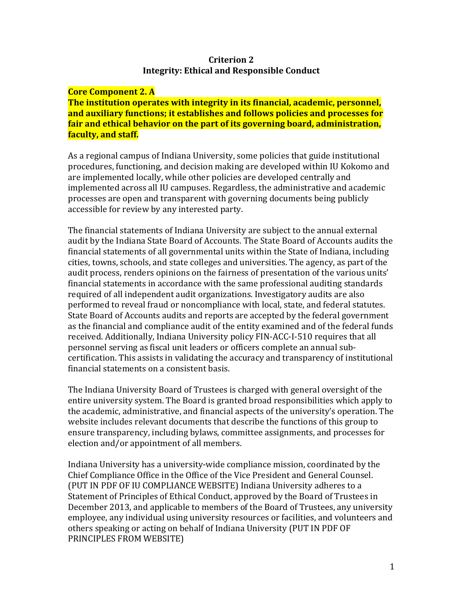### **Criterion 2 Integrity: Ethical and Responsible Conduct**

#### **Core Component 2. A**

**The institution operates with integrity in its financial, academic, personnel, and auxiliary functions; it establishes and follows policies and processes for fair and ethical behavior on the part of its governing board, administration, faculty, and staff.**

As a regional campus of Indiana University, some policies that guide institutional procedures, functioning, and decision making are developed within IU Kokomo and are implemented locally, while other policies are developed centrally and implemented across all IU campuses. Regardless, the administrative and academic processes are open and transparent with governing documents being publicly accessible for review by any interested party.

The financial statements of Indiana University are subject to the annual external audit by the Indiana State Board of Accounts. The State Board of Accounts audits the financial statements of all governmental units within the State of Indiana, including cities, towns, schools, and state colleges and universities. The agency, as part of the audit process, renders opinions on the fairness of presentation of the various units' financial statements in accordance with the same professional auditing standards required of all independent audit organizations. Investigatory audits are also performed to reveal fraud or noncompliance with local, state, and federal statutes. State Board of Accounts audits and reports are accepted by the federal government as the financial and compliance audit of the entity examined and of the federal funds received. Additionally, Indiana University policy FIN-ACC-I-510 requires that all personnel serving as fiscal unit leaders or officers complete an annual subcertification. This assists in validating the accuracy and transparency of institutional financial statements on a consistent basis.

The Indiana University Board of Trustees is charged with general oversight of the entire university system. The Board is granted broad responsibilities which apply to the academic, administrative, and financial aspects of the university's operation. The website includes relevant documents that describe the functions of this group to ensure transparency, including bylaws, committee assignments, and processes for election and/or appointment of all members.

Indiana University has a university-wide compliance mission, coordinated by the Chief Compliance Office in the Office of the Vice President and General Counsel. (PUT IN PDF OF IU COMPLIANCE WEBSITE) Indiana University adheres to a Statement of Principles of Ethical Conduct, approved by the Board of Trustees in December 2013, and applicable to members of the Board of Trustees, any university employee, any individual using university resources or facilities, and volunteers and others speaking or acting on behalf of Indiana University (PUT IN PDF OF PRINCIPLES FROM WEBSITE)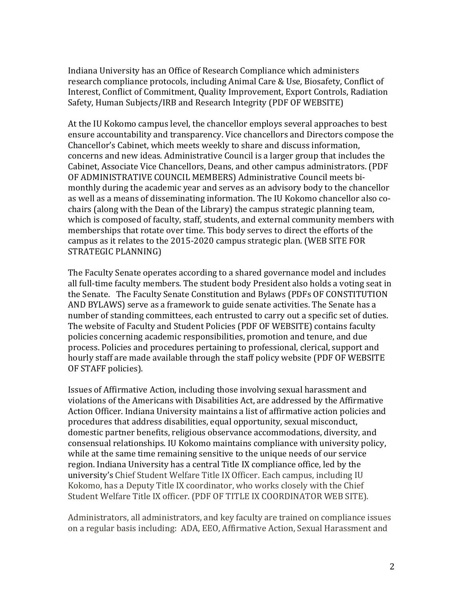Indiana University has an Office of Research Compliance which administers research compliance protocols, including Animal Care & Use, Biosafety, Conflict of Interest, Conflict of Commitment, Quality Improvement, Export Controls, Radiation Safety, Human Subjects/IRB and Research Integrity (PDF OF WEBSITE)

At the IU Kokomo campus level, the chancellor employs several approaches to best ensure accountability and transparency. Vice chancellors and Directors compose the Chancellor's Cabinet, which meets weekly to share and discuss information, concerns and new ideas. Administrative Council is a larger group that includes the Cabinet, Associate Vice Chancellors, Deans, and other campus administrators. (PDF OF ADMINISTRATIVE COUNCIL MEMBERS) Administrative Council meets bimonthly during the academic year and serves as an advisory body to the chancellor as well as a means of disseminating information. The IU Kokomo chancellor also cochairs (along with the Dean of the Library) the campus strategic planning team, which is composed of faculty, staff, students, and external community members with memberships that rotate over time. This body serves to direct the efforts of the campus as it relates to the 2015-2020 campus strategic plan. (WEB SITE FOR STRATEGIC PLANNING)

The Faculty Senate operates according to a shared governance model and includes all full-time faculty members. The student body President also holds a voting seat in the Senate. The Faculty Senate Constitution and Bylaws (PDFs OF CONSTITUTION AND BYLAWS) serve as a framework to guide senate activities. The Senate has a number of standing committees, each entrusted to carry out a specific set of duties. The website of Faculty and Student Policies (PDF OF WEBSITE) contains faculty policies concerning academic responsibilities, promotion and tenure, and due process. Policies and procedures pertaining to professional, clerical, support and hourly staff are made available through the staff policy website (PDF OF WEBSITE OF STAFF policies).

Issues of Affirmative Action, including those involving sexual harassment and violations of the Americans with Disabilities Act, are addressed by the Affirmative Action Officer. Indiana University maintains a list of affirmative action policies and procedures that address disabilities, equal opportunity, sexual misconduct, domestic partner benefits, religious observance accommodations, diversity, and consensual relationships. IU Kokomo maintains compliance with university policy, while at the same time remaining sensitive to the unique needs of our service region. Indiana University has a central Title IX compliance office, led by the university's Chief Student Welfare Title IX Officer. Each campus, including IU Kokomo, has a Deputy Title IX coordinator, who works closely with the Chief Student Welfare Title IX officer. (PDF OF TITLE IX COORDINATOR WEB SITE).

Administrators, all administrators, and key faculty are trained on compliance issues on a regular basis including: ADA, EEO, Affirmative Action, Sexual Harassment and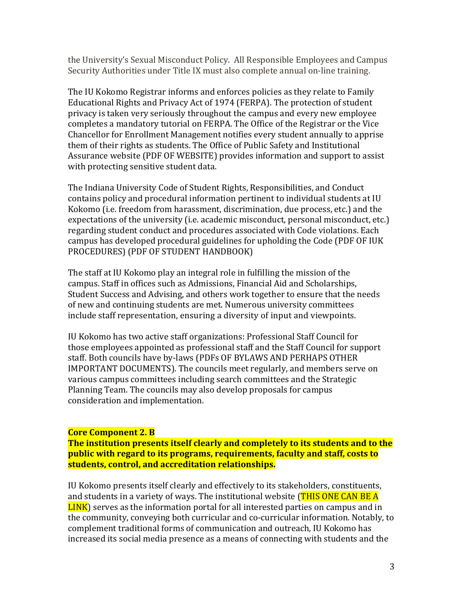the University's Sexual Misconduct Policy. All Responsible Employees and Campus Security Authorities under Title IX must also complete annual on-line training.

The IU Kokomo Registrar informs and enforces policies as they relate to Family Educational Rights and Privacy Act of 1974 (FERPA). The protection of student privacy is taken very seriously throughout the campus and every new employee completes a mandatory tutorial on FERPA. The Office of the Registrar or the Vice Chancellor for Enrollment Management notifies every student annually to apprise them of their rights as students. The Office of Public Safety and Institutional Assurance website (PDF OF WEBSITE) provides information and support to assist with protecting sensitive student data.

The Indiana University Code of Student Rights, Responsibilities, and Conduct contains policy and procedural information pertinent to individual students at IU Kokomo (i.e. freedom from harassment, discrimination, due process, etc.) and the expectations of the university (i.e. academic misconduct, personal misconduct, etc.) regarding student conduct and procedures associated with Code violations. Each campus has developed procedural guidelines for upholding the Code (PDF OF IUK PROCEDURES) (PDF OF STUDENT HANDBOOK)

The staff at IU Kokomo play an integral role in fulfilling the mission of the campus. Staff in offices such as Admissions, Financial Aid and Scholarships, Student Success and Advising, and others work together to ensure that the needs of new and continuing students are met. Numerous university committees include staff representation, ensuring a diversity of input and viewpoints.

IU Kokomo has two active staff organizations: Professional Staff Council for those employees appointed as professional staff and the Staff Council for support staff. Both councils have by-laws (PDFs OF BYLAWS AND PERHAPS OTHER IMPORTANT DOCUMENTS). The councils meet regularly, and members serve on various campus committees including search committees and the Strategic Planning Team. The councils may also develop proposals for campus consideration and implementation.

### **Core Component 2. B**

**The institution presents itself clearly and completely to its students and to the public with regard to its programs, requirements, faculty and staff, costs to students, control, and accreditation relationships.**

IU Kokomo presents itself clearly and effectively to its stakeholders, constituents, and students in a variety of ways. The institutional website (THIS ONE CAN BE A LINK) serves as the information portal for all interested parties on campus and in the community, conveying both curricular and co-curricular information. Notably, to complement traditional forms of communication and outreach, IU Kokomo has increased its social media presence as a means of connecting with students and the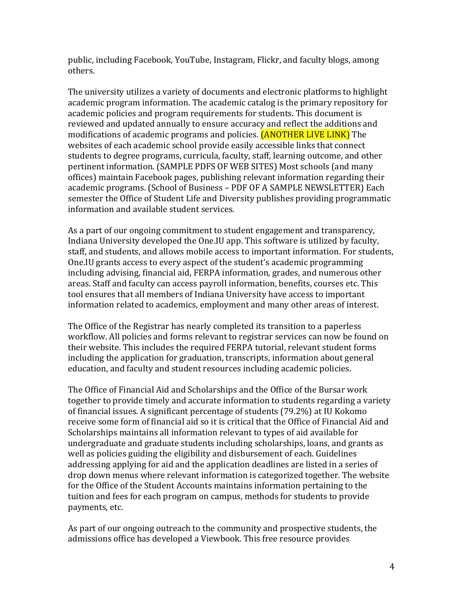public, including Facebook, YouTube, Instagram, Flickr, and faculty blogs, among others.

The university utilizes a variety of documents and electronic platforms to highlight academic program information. The academic catalog is the primary repository for academic policies and program requirements for students. This document is reviewed and updated annually to ensure accuracy and reflect the additions and modifications of academic programs and policies. **(ANOTHER LIVE LINK)** The websites of each academic school provide easily accessible links that connect students to degree programs, curricula, faculty, staff, learning outcome, and other pertinent information. (SAMPLE PDFS OF WEB SITES) Most schools (and many offices) maintain Facebook pages, publishing relevant information regarding their academic programs. (School of Business – PDF OF A SAMPLE NEWSLETTER) Each semester the Office of Student Life and Diversity publishes providing programmatic information and available student services.

As a part of our ongoing commitment to student engagement and transparency, Indiana University developed the One.IU app. This software is utilized by faculty, staff, and students, and allows mobile access to important information. For students, One.IU grants access to every aspect of the student's academic programming including advising, financial aid, FERPA information, grades, and numerous other areas. Staff and faculty can access payroll information, benefits, courses etc. This tool ensures that all members of Indiana University have access to important information related to academics, employment and many other areas of interest.

The Office of the Registrar has nearly completed its transition to a paperless workflow. All policies and forms relevant to registrar services can now be found on their website. This includes the required FERPA tutorial, relevant student forms including the application for graduation, transcripts, information about general education, and faculty and student resources including academic policies.

The Office of Financial Aid and Scholarships and the Office of the Bursar work together to provide timely and accurate information to students regarding a variety of financial issues. A significant percentage of students (79.2%) at IU Kokomo receive some form of financial aid so it is critical that the Office of Financial Aid and Scholarships maintains all information relevant to types of aid available for undergraduate and graduate students including scholarships, loans, and grants as well as policies guiding the eligibility and disbursement of each. Guidelines addressing applying for aid and the application deadlines are listed in a series of drop down menus where relevant information is categorized together. The website for the Office of the Student Accounts maintains information pertaining to the tuition and fees for each program on campus, methods for students to provide payments, etc.

As part of our ongoing outreach to the community and prospective students, the admissions office has developed a Viewbook. This free resource provides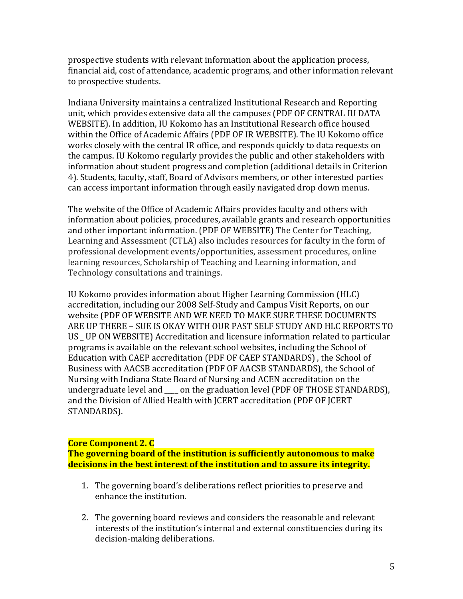prospective students with relevant information about the application process, financial aid, cost of attendance, academic programs, and other information relevant to prospective students.

Indiana University maintains a centralized Institutional Research and Reporting unit, which provides extensive data all the campuses (PDF OF CENTRAL IU DATA WEBSITE). In addition, IU Kokomo has an Institutional Research office housed within the Office of Academic Affairs (PDF OF IR WEBSITE). The IU Kokomo office works closely with the central IR office, and responds quickly to data requests on the campus. IU Kokomo regularly provides the public and other stakeholders with information about student progress and completion (additional details in Criterion 4). Students, faculty, staff, Board of Advisors members, or other interested parties can access important information through easily navigated drop down menus.

The website of the Office of Academic Affairs provides faculty and others with information about policies, procedures, available grants and research opportunities and other important information. (PDF OF WEBSITE) The Center for Teaching, Learning and Assessment (CTLA) also includes resources for faculty in the form of professional development events/opportunities, assessment procedures, online learning resources, Scholarship of Teaching and Learning information, and Technology consultations and trainings.

IU Kokomo provides information about Higher Learning Commission (HLC) accreditation, including our 2008 Self-Study and Campus Visit Reports, on our website (PDF OF WEBSITE AND WE NEED TO MAKE SURE THESE DOCUMENTS ARE UP THERE – SUE IS OKAY WITH OUR PAST SELF STUDY AND HLC REPORTS TO US \_ UP ON WEBSITE) Accreditation and licensure information related to particular programs is available on the relevant school websites, including the School of Education with CAEP accreditation (PDF OF CAEP STANDARDS) , the School of Business with AACSB accreditation (PDF OF AACSB STANDARDS), the School of Nursing with Indiana State Board of Nursing and ACEN accreditation on the undergraduate level and \_\_\_\_ on the graduation level (PDF OF THOSE STANDARDS), and the Division of Allied Health with JCERT accreditation (PDF OF JCERT STANDARDS).

### **Core Component 2. C**

**The governing board of the institution is sufficiently autonomous to make decisions in the best interest of the institution and to assure its integrity.**

- 1. The governing board's deliberations reflect priorities to preserve and enhance the institution.
- 2. The governing board reviews and considers the reasonable and relevant interests of the institution's internal and external constituencies during its decision-making deliberations.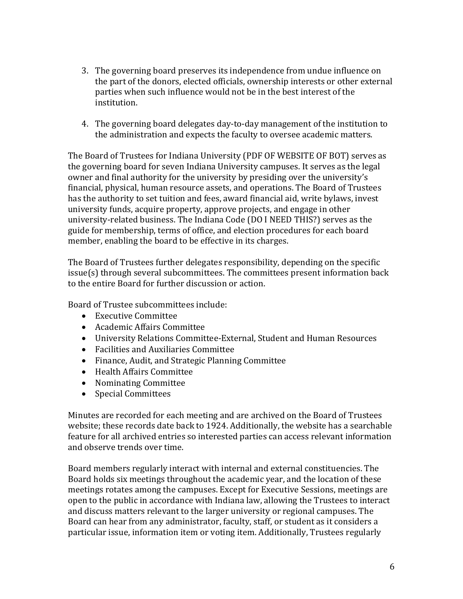- 3. The governing board preserves its independence from undue influence on the part of the donors, elected officials, ownership interests or other external parties when such influence would not be in the best interest of the institution.
- 4. The governing board delegates day-to-day management of the institution to the administration and expects the faculty to oversee academic matters.

The Board of Trustees for Indiana University (PDF OF WEBSITE OF BOT) serves as the governing board for seven Indiana University campuses. It serves as the legal owner and final authority for the university by presiding over the university's financial, physical, human resource assets, and operations. The Board of Trustees has the authority to set tuition and fees, award financial aid, write bylaws, invest university funds, acquire property, approve projects, and engage in other university-related business. The Indiana Code (DO I NEED THIS?) serves as the guide for membership, terms of office, and election procedures for each board member, enabling the board to be effective in its charges.

The Board of Trustees further delegates responsibility, depending on the specific issue(s) through several subcommittees. The committees present information back to the entire Board for further discussion or action.

Board of Trustee subcommittees include:

- Executive Committee
- Academic Affairs Committee
- University Relations Committee-External, Student and Human Resources
- Facilities and Auxiliaries Committee
- Finance, Audit, and Strategic Planning Committee
- Health Affairs Committee
- Nominating Committee
- Special Committees

Minutes are recorded for each meeting and are archived on the Board of Trustees website; these records date back to 1924. Additionally, the website has a searchable feature for all archived entries so interested parties can access relevant information and observe trends over time.

Board members regularly interact with internal and external constituencies. The Board holds six meetings throughout the academic year, and the location of these meetings rotates among the campuses. Except for Executive Sessions, meetings are open to the public in accordance with Indiana law, allowing the Trustees to interact and discuss matters relevant to the larger university or regional campuses. The Board can hear from any administrator, faculty, staff, or student as it considers a particular issue, information item or voting item. Additionally, Trustees regularly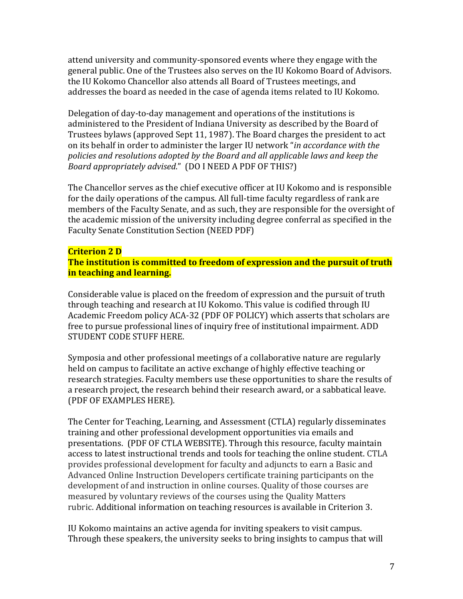attend university and community-sponsored events where they engage with the general public. One of the Trustees also serves on the IU Kokomo Board of Advisors. the IU Kokomo Chancellor also attends all Board of Trustees meetings, and addresses the board as needed in the case of agenda items related to IU Kokomo.

Delegation of day-to-day management and operations of the institutions is administered to the President of Indiana University as described by the Board of Trustees bylaws (approved Sept 11, 1987). The Board charges the president to act on its behalf in order to administer the larger IU network "*in accordance with the policies and resolutions adopted by the Board and all applicable laws and keep the Board appropriately advised*." (DO I NEED A PDF OF THIS?)

The Chancellor serves as the chief executive officer at IU Kokomo and is responsible for the daily operations of the campus. All full-time faculty regardless of rank are members of the Faculty Senate, and as such, they are responsible for the oversight of the academic mission of the university including degree conferral as specified in the Faculty Senate Constitution Section (NEED PDF)

#### **Criterion 2 D**

**The institution is committed to freedom of expression and the pursuit of truth in teaching and learning.**

Considerable value is placed on the freedom of expression and the pursuit of truth through teaching and research at IU Kokomo. This value is codified through IU Academic Freedom policy ACA-32 (PDF OF POLICY) which asserts that scholars are free to pursue professional lines of inquiry free of institutional impairment. ADD STUDENT CODE STUFF HERE.

Symposia and other professional meetings of a collaborative nature are regularly held on campus to facilitate an active exchange of highly effective teaching or research strategies. Faculty members use these opportunities to share the results of a research project, the research behind their research award, or a sabbatical leave. (PDF OF EXAMPLES HERE).

The Center for Teaching, Learning, and Assessment (CTLA) regularly disseminates training and other professional development opportunities via emails and presentations. (PDF OF CTLA WEBSITE). Through this resource, faculty maintain access to latest instructional trends and tools for teaching the online student. CTLA provides professional development for faculty and adjuncts to earn a Basic and Advanced Online Instruction Developers certificate training participants on the development of and instruction in online courses. Quality of those courses are measured by voluntary reviews of the courses using the Quality Matters rubric. Additional information on teaching resources is available in Criterion 3.

IU Kokomo maintains an active agenda for inviting speakers to visit campus. Through these speakers, the university seeks to bring insights to campus that will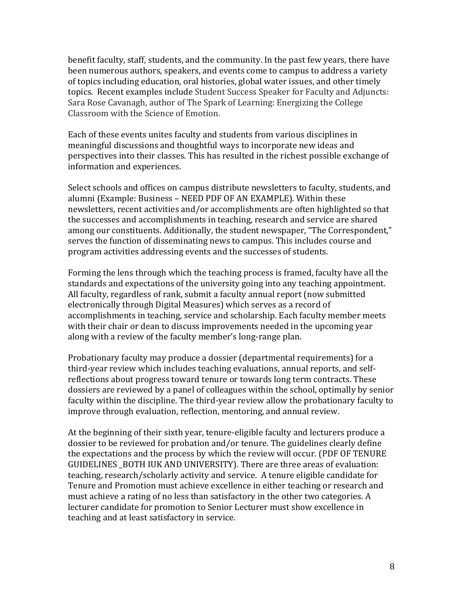benefit faculty, staff, students, and the community. In the past few years, there have been numerous authors, speakers, and events come to campus to address a variety of topics including education, oral histories, global water issues, and other timely topics. Recent examples include Student Success Speaker for Faculty and Adjuncts: Sara Rose Cavanagh, author of The Spark of Learning: Energizing the College Classroom with the Science of Emotion.

Each of these events unites faculty and students from various disciplines in meaningful discussions and thoughtful ways to incorporate new ideas and perspectives into their classes. This has resulted in the richest possible exchange of information and experiences.

Select schools and offices on campus distribute newsletters to faculty, students, and alumni (Example: Business – NEED PDF OF AN EXAMPLE). Within these newsletters, recent activities and/or accomplishments are often highlighted so that the successes and accomplishments in teaching, research and service are shared among our constituents. Additionally, the student newspaper, "The Correspondent," serves the function of disseminating news to campus. This includes course and program activities addressing events and the successes of students.

Forming the lens through which the teaching process is framed, faculty have all the standards and expectations of the university going into any teaching appointment. All faculty, regardless of rank, submit a faculty annual report (now submitted electronically through Digital Measures) which serves as a record of accomplishments in teaching, service and scholarship. Each faculty member meets with their chair or dean to discuss improvements needed in the upcoming year along with a review of the faculty member's long-range plan.

Probationary faculty may produce a dossier (departmental requirements) for a third-year review which includes teaching evaluations, annual reports, and selfreflections about progress toward tenure or towards long term contracts. These dossiers are reviewed by a panel of colleagues within the school, optimally by senior faculty within the discipline. The third-year review allow the probationary faculty to improve through evaluation, reflection, mentoring, and annual review.

At the beginning of their sixth year, tenure-eligible faculty and lecturers produce a dossier to be reviewed for probation and/or tenure. The guidelines clearly define the expectations and the process by which the review will occur. (PDF OF TENURE GUIDELINES BOTH IUK AND UNIVERSITY). There are three areas of evaluation: teaching, research/scholarly activity and service. A tenure eligible candidate for Tenure and Promotion must achieve excellence in either teaching or research and must achieve a rating of no less than satisfactory in the other two categories. A lecturer candidate for promotion to Senior Lecturer must show excellence in teaching and at least satisfactory in service.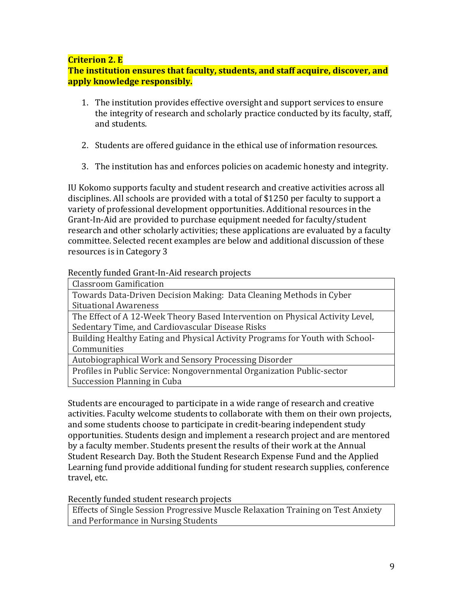## **Criterion 2. E**

**The institution ensures that faculty, students, and staff acquire, discover, and apply knowledge responsibly.**

- 1. The institution provides effective oversight and support services to ensure the integrity of research and scholarly practice conducted by its faculty, staff, and students.
- 2. Students are offered guidance in the ethical use of information resources.
- 3. The institution has and enforces policies on academic honesty and integrity.

IU Kokomo supports faculty and student research and creative activities across all disciplines. All schools are provided with a total of \$1250 per faculty to support a variety of professional development opportunities. Additional resources in the Grant-In-Aid are provided to purchase equipment needed for faculty/student research and other scholarly activities; these applications are evaluated by a faculty committee. Selected recent examples are below and additional discussion of these resources is in Category 3

## Recently funded Grant-In-Aid research projects

| <b>Classroom Gamification</b> |
|-------------------------------|
|                               |

Towards Data-Driven Decision Making: Data Cleaning Methods in Cyber Situational Awareness

The Effect of A 12-Week Theory Based Intervention on Physical Activity Level, Sedentary Time, and Cardiovascular Disease Risks

Building Healthy Eating and Physical Activity Programs for Youth with School-**Communities** 

Autobiographical Work and Sensory Processing Disorder

Profiles in Public Service: Nongovernmental Organization Public-sector Succession Planning in Cuba

Students are encouraged to participate in a wide range of research and creative activities. Faculty welcome students to collaborate with them on their own projects, and some students choose to participate in credit-bearing independent study opportunities. Students design and implement a research project and are mentored by a faculty member. Students present the results of their work at the Annual Student Research Day. Both the Student Research Expense Fund and the Applied Learning fund provide additional funding for student research supplies, conference travel, etc.

# Recently funded student research projects

Effects of Single Session Progressive Muscle Relaxation Training on Test Anxiety and Performance in Nursing Students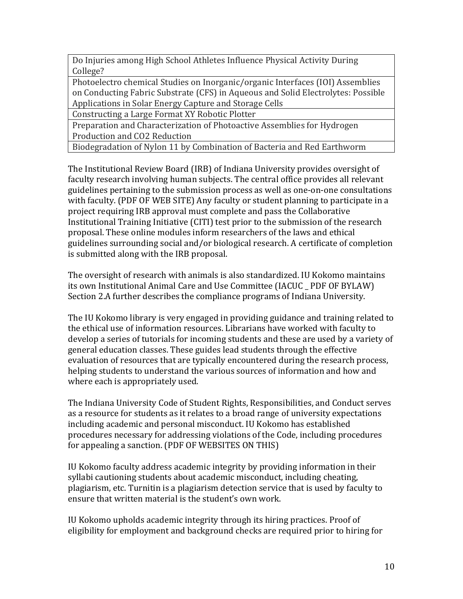Do Injuries among High School Athletes Influence Physical Activity During College?

Photoelectro chemical Studies on Inorganic/organic Interfaces (IOI) Assemblies on Conducting Fabric Substrate (CFS) in Aqueous and Solid Electrolytes: Possible Applications in Solar Energy Capture and Storage Cells

Constructing a Large Format XY Robotic Plotter

Preparation and Characterization of Photoactive Assemblies for Hydrogen Production and CO2 Reduction

Biodegradation of Nylon 11 by Combination of Bacteria and Red Earthworm

The Institutional Review Board (IRB) of Indiana University provides oversight of faculty research involving human subjects. The central office provides all relevant guidelines pertaining to the submission process as well as one-on-one consultations with faculty. (PDF OF WEB SITE) Any faculty or student planning to participate in a project requiring IRB approval must complete and pass the Collaborative Institutional Training Initiative (CITI) test prior to the submission of the research proposal. These online modules inform researchers of the laws and ethical guidelines surrounding social and/or biological research. A certificate of completion is submitted along with the IRB proposal.

The oversight of research with animals is also standardized. IU Kokomo maintains its own Institutional Animal Care and Use Committee (IACUC \_ PDF OF BYLAW) Section 2.A further describes the compliance programs of Indiana University.

The IU Kokomo library is very engaged in providing guidance and training related to the ethical use of information resources. Librarians have worked with faculty to develop a series of tutorials for incoming students and these are used by a variety of general education classes. These guides lead students through the effective evaluation of resources that are typically encountered during the research process, helping students to understand the various sources of information and how and where each is appropriately used.

The Indiana University Code of Student Rights, Responsibilities, and Conduct serves as a resource for students as it relates to a broad range of university expectations including academic and personal misconduct. IU Kokomo has established procedures necessary for addressing violations of the Code, including procedures for appealing a sanction. (PDF OF WEBSITES ON THIS)

IU Kokomo faculty address academic integrity by providing information in their syllabi cautioning students about academic misconduct, including cheating, plagiarism, etc. Turnitin is a plagiarism detection service that is used by faculty to ensure that written material is the student's own work.

IU Kokomo upholds academic integrity through its hiring practices. Proof of eligibility for employment and background checks are required prior to hiring for